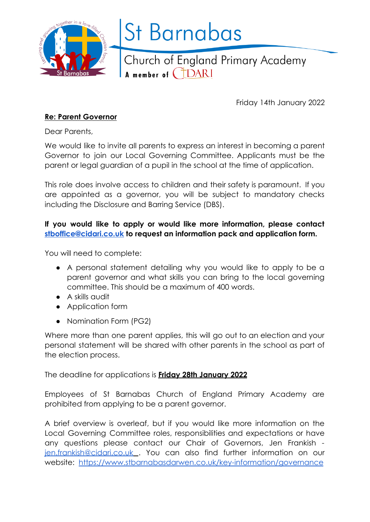

# **St Barnabas**

Church of England Primary Academy A member of CHDARI

Friday 14th January 2022

## **Re: Parent Governor**

Dear Parents,

We would like to invite all parents to express an interest in becoming a parent Governor to join our Local Governing Committee. Applicants must be the parent or legal guardian of a pupil in the school at the time of application.

This role does involve access to children and their safety is paramount. If you are appointed as a governor, you will be subject to mandatory checks including the Disclosure and Barring Service (DBS).

## **If you would like to apply or would like more information, please contact [stboffice@cidari.co.uk](mailto:stboffice@cidari.co.uk) to request an information pack and application form.**

You will need to complete:

- A personal statement detailing why you would like to apply to be a parent governor and what skills you can bring to the local governing committee. This should be a maximum of 400 words.
- A skills audit
- Application form
- Nomination Form (PG2)

Where more than one parent applies, this will go out to an election and your personal statement will be shared with other parents in the school as part of the election process.

The deadline for applications is **Friday 28th January 2022**

Employees of St Barnabas Church of England Primary Academy are prohibited from applying to be a parent governor.

A brief overview is overleaf, but if you would like more information on the Local Governing Committee roles, responsibilities and expectations or have any questions please contact our Chair of Governors, Jen Frankish [jen.frankish@cidari.co.uk](mailto:jen.frankish@cidari.co.uk) . You can also find further information on our website: <https://www.stbarnabasdarwen.co.uk/key-information/governance>